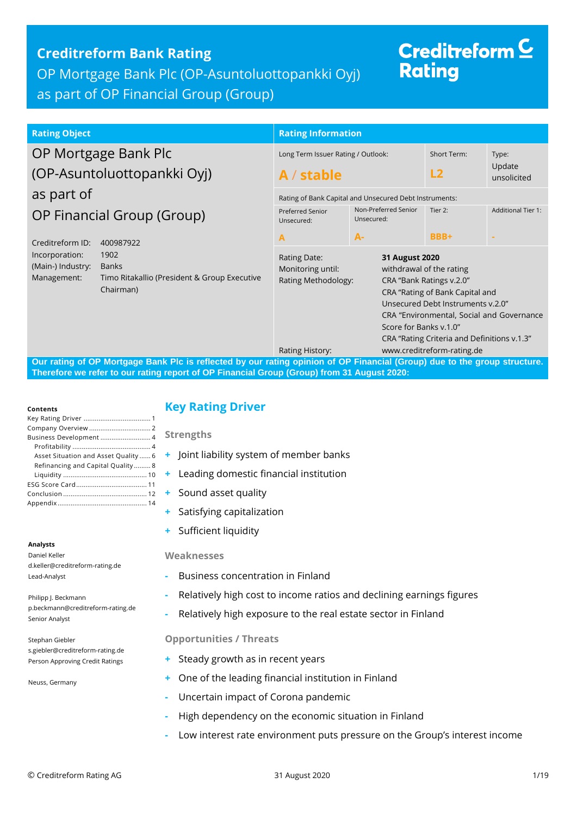## **Creditreform Bank Rating**

OP Mortgage Bank Plc (OP-Asuntoluottopankki Oyj)

## as part of OP Financial Group (Group)

# Creditreform  $\subseteq$ **Rating**

#### **Rating Object Rating Object Rating Information** OP Mortgage Bank Plc (OP-Asuntoluottopankki Oyj) as part of OP Financial Group (Group) Creditreform ID: 400987922 Incorporation: 1902 (Main-) Industry: Banks Management: Timo Ritakallio (President & Group Executive Chairman) Long Term Issuer Rating / Outlook: **A** / **stable** Short Term: **L2** Type: Update unsolicited Rating of Bank Capital and Unsecured Debt Instruments: Preferred Senior Unsecured: **A** Non-Preferred Senior Unsecured: **A-**Tier 2: **BBB+** Additional Tier 1: **-** Rating Date: **31 August 2020** Monitoring until: withdrawal of the rating Rating Methodology: CRA "Bank Ratings v.2.0" CRA "Rating of Bank Capital and Unsecured Debt Instruments v.2.0" CRA "Environmental, Social and Governance Score for Banks v.1.0" CRA "Rating Criteria and Definitions v.1.3" Rating History: www.creditreform-rating.de

**Our rating of OP Mortgage Bank Plc is reflected by our rating opinion of OP Financial (Group) due to the group structure. Therefore we refer to our rating report of OP Financial Group (Group) from 31 August 2020:**

#### **Contents**

| Business Development 4               |
|--------------------------------------|
|                                      |
| Asset Situation and Asset Quality  6 |
| Refinancing and Capital Quality 8    |
|                                      |
|                                      |
|                                      |
|                                      |
|                                      |

#### **Analysts**

Daniel Keller d.keller@creditreform-rating.de Lead-Analyst

Philipp J. Beckmann p.beckmann@creditreform-rating.de Senior Analyst

Stephan Giebler s.giebler@creditreform-rating.de Person Approving Credit Ratings

Neuss, Germany

## <span id="page-0-0"></span>**Key Rating Driver**

**Strengths**

- **+** Joint liability system of member banks
- **+** Leading domestic financial institution
- **+** Sound asset quality
- **+** Satisfying capitalization
- **+** Sufficient liquidity

#### **Weaknesses**

- **-** Business concentration in Finland
- **-** Relatively high cost to income ratios and declining earnings figures
- **-** Relatively high exposure to the real estate sector in Finland

### **Opportunities / Threats**

- **+** Steady growth as in recent years
- **+** One of the leading financial institution in Finland
- **-** Uncertain impact of Corona pandemic
- <span id="page-0-1"></span>**-** High dependency on the economic situation in Finland
- **-** Low interest rate environment puts pressure on the Group's interest income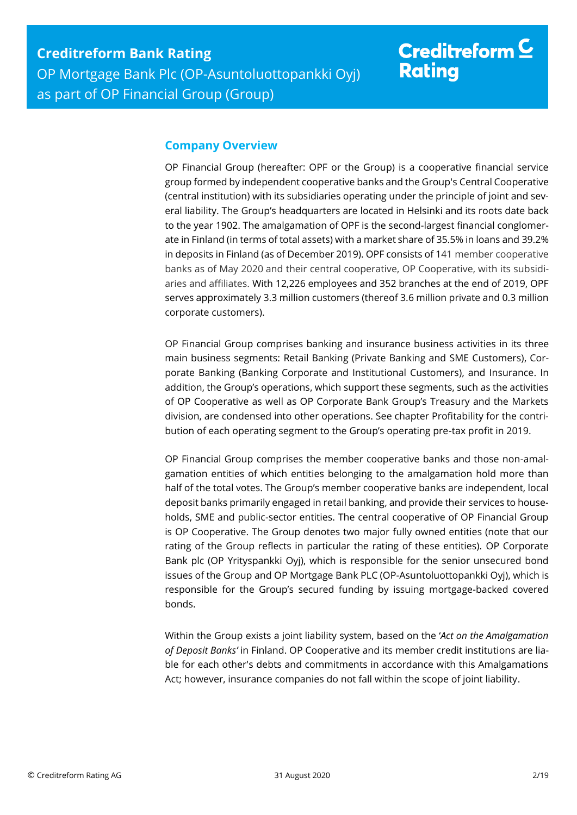## **Company Overview**

OP Financial Group (hereafter: OPF or the Group) is a cooperative financial service group formed by independent cooperative banks and the Group's Central Cooperative (central institution) with its subsidiaries operating under the principle of joint and several liability. The Group's headquarters are located in Helsinki and its roots date back to the year 1902. The amalgamation of OPF is the second-largest financial conglomerate in Finland (in terms of total assets) with a market share of 35.5% in loans and 39.2% in deposits in Finland (as of December 2019). OPF consists of 141 member cooperative banks as of May 2020 and their central cooperative, OP Cooperative, with its subsidiaries and affiliates. With 12,226 employees and 352 branches at the end of 2019, OPF serves approximately 3.3 million customers (thereof 3.6 million private and 0.3 million corporate customers).

OP Financial Group comprises banking and insurance business activities in its three main business segments: Retail Banking (Private Banking and SME Customers), Corporate Banking (Banking Corporate and Institutional Customers), and Insurance. In addition, the Group's operations, which support these segments, such as the activities of OP Cooperative as well as OP Corporate Bank Group's Treasury and the Markets division, are condensed into other operations. See chapter Profitability for the contribution of each operating segment to the Group's operating pre-tax profit in 2019.

OP Financial Group comprises the member cooperative banks and those non-amalgamation entities of which entities belonging to the amalgamation hold more than half of the total votes. The Group's member cooperative banks are independent, local deposit banks primarily engaged in retail banking, and provide their services to households, SME and public-sector entities. The central cooperative of OP Financial Group is OP Cooperative. The Group denotes two major fully owned entities (note that our rating of the Group reflects in particular the rating of these entities). OP Corporate Bank plc (OP Yrityspankki Oyj), which is responsible for the senior unsecured bond issues of the Group and OP Mortgage Bank PLC (OP-Asuntoluottopankki Oyj), which is responsible for the Group's secured funding by issuing mortgage-backed covered bonds.

Within the Group exists a joint liability system, based on the '*Act on the Amalgamation of Deposit Banks'* in Finland. OP Cooperative and its member credit institutions are liable for each other's debts and commitments in accordance with this Amalgamations Act; however, insurance companies do not fall within the scope of joint liability.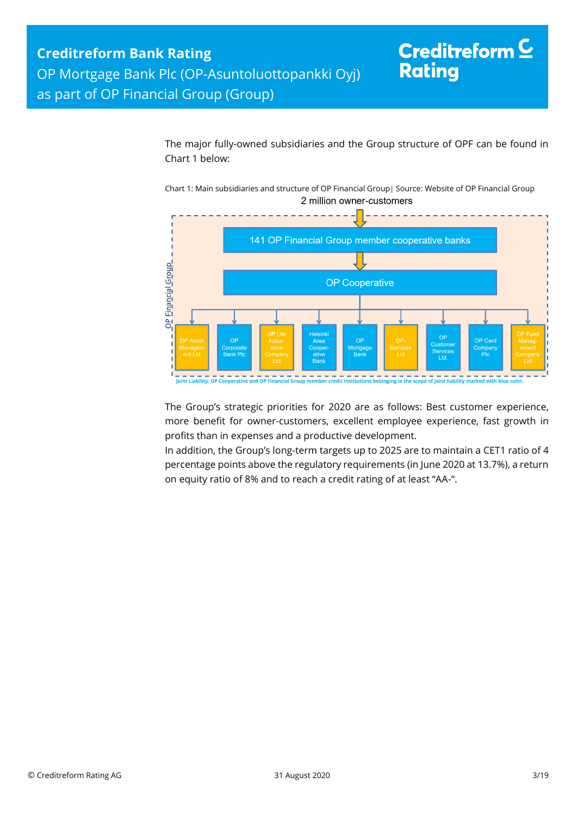The major fully-owned subsidiaries and the Group structure of OPF can be found in Chart 1 below:

Chart 1: Main subsidiaries and structure of OP Financial Group| Source: Website of OP Financial Group 2 million owner-customers



The Group's strategic priorities for 2020 are as follows: Best customer experience, more benefit for owner-customers, excellent employee experience, fast growth in profits than in expenses and a productive development.

In addition, the Group's long-term targets up to 2025 are to maintain a CET1 ratio of 4 percentage points above the regulatory requirements (in June 2020 at 13.7%), a return on equity ratio of 8% and to reach a credit rating of at least "AA-".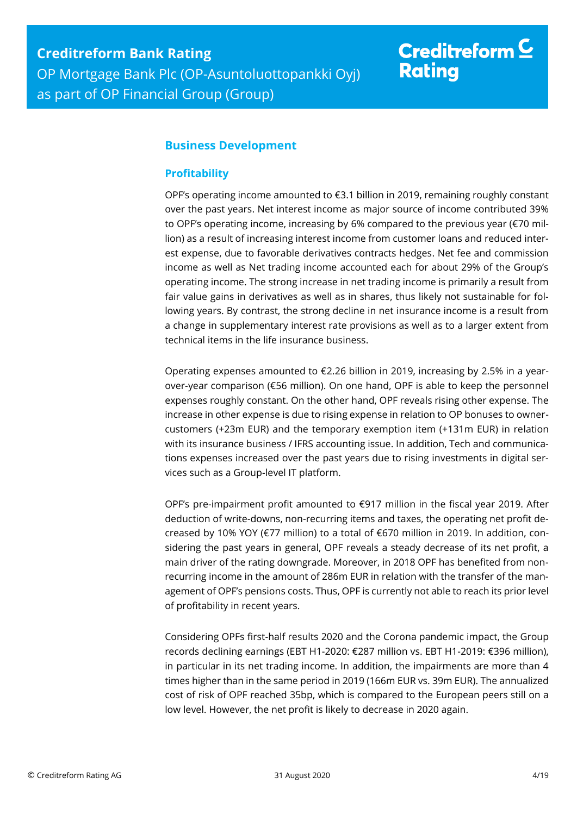## <span id="page-3-0"></span>**Business Development**

## <span id="page-3-1"></span>**Profitability**

OPF's operating income amounted to €3.1 billion in 2019, remaining roughly constant over the past years. Net interest income as major source of income contributed 39% to OPF's operating income, increasing by 6% compared to the previous year (€70 million) as a result of increasing interest income from customer loans and reduced interest expense, due to favorable derivatives contracts hedges. Net fee and commission income as well as Net trading income accounted each for about 29% of the Group's operating income. The strong increase in net trading income is primarily a result from fair value gains in derivatives as well as in shares, thus likely not sustainable for following years. By contrast, the strong decline in net insurance income is a result from a change in supplementary interest rate provisions as well as to a larger extent from technical items in the life insurance business.

Operating expenses amounted to €2.26 billion in 2019, increasing by 2.5% in a yearover-year comparison (€56 million). On one hand, OPF is able to keep the personnel expenses roughly constant. On the other hand, OPF reveals rising other expense. The increase in other expense is due to rising expense in relation to OP bonuses to ownercustomers (+23m EUR) and the temporary exemption item (+131m EUR) in relation with its insurance business / IFRS accounting issue. In addition, Tech and communications expenses increased over the past years due to rising investments in digital services such as a Group-level IT platform.

OPF's pre-impairment profit amounted to  $\epsilon$ 917 million in the fiscal year 2019. After deduction of write-downs, non-recurring items and taxes, the operating net profit decreased by 10% YOY (€77 million) to a total of €670 million in 2019. In addition, considering the past years in general, OPF reveals a steady decrease of its net profit, a main driver of the rating downgrade. Moreover, in 2018 OPF has benefited from nonrecurring income in the amount of 286m EUR in relation with the transfer of the management of OPF's pensions costs. Thus, OPF is currently not able to reach its prior level of profitability in recent years.

Considering OPFs first-half results 2020 and the Corona pandemic impact, the Group records declining earnings (EBT H1-2020: €287 million vs. EBT H1-2019: €396 million), in particular in its net trading income. In addition, the impairments are more than 4 times higher than in the same period in 2019 (166m EUR vs. 39m EUR). The annualized cost of risk of OPF reached 35bp, which is compared to the European peers still on a low level. However, the net profit is likely to decrease in 2020 again.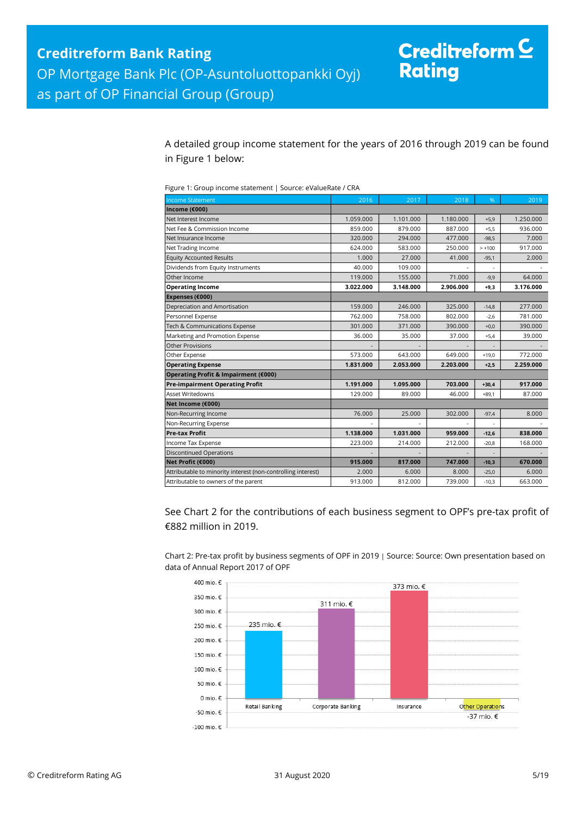A detailed group income statement for the years of 2016 through 2019 can be found in Figure 1 below:

| Figure 1: Group income statement   Source: eValueRate / CRA |  |
|-------------------------------------------------------------|--|
|                                                             |  |

| <b>Income Statement</b>                                      | 2016      | 2017      | 2018      | %        | 2019      |
|--------------------------------------------------------------|-----------|-----------|-----------|----------|-----------|
| Income (€000)                                                |           |           |           |          |           |
| Net Interest Income                                          | 1.059.000 | 1.101.000 | 1.180.000 | $+5,9$   | 1.250.000 |
| Net Fee & Commission Income                                  | 859.000   | 879.000   | 887.000   | $+5,5$   | 936.000   |
| Net Insurance Income                                         | 320.000   | 294.000   | 477.000   | $-98.5$  | 7.000     |
| Net Trading Income                                           | 624.000   | 583.000   | 250.000   | $> +100$ | 917.000   |
| <b>Equity Accounted Results</b>                              | 1.000     | 27.000    | 41.000    | $-95,1$  | 2.000     |
| Dividends from Equity Instruments                            | 40.000    | 109.000   |           |          |           |
| Other Income                                                 | 119.000   | 155.000   | 71.000    | $-9,9$   | 64.000    |
| <b>Operating Income</b>                                      | 3.022.000 | 3.148.000 | 2.906.000 | $+9,3$   | 3.176.000 |
| Expenses (€000)                                              |           |           |           |          |           |
| Depreciation and Amortisation                                | 159.000   | 246.000   | 325.000   | $-14,8$  | 277.000   |
| Personnel Expense                                            | 762.000   | 758.000   | 802.000   | $-2.6$   | 781.000   |
| Tech & Communications Expense                                | 301.000   | 371.000   | 390.000   | $+0,0$   | 390.000   |
| Marketing and Promotion Expense                              | 36.000    | 35.000    | 37.000    | $+5,4$   | 39.000    |
| <b>Other Provisions</b>                                      |           |           |           |          |           |
| Other Expense                                                | 573.000   | 643.000   | 649.000   | $+19,0$  | 772.000   |
| <b>Operating Expense</b>                                     | 1.831.000 | 2.053.000 | 2.203.000 | $+2,5$   | 2.259.000 |
| Operating Profit & Impairment (€000)                         |           |           |           |          |           |
| <b>Pre-impairment Operating Profit</b>                       | 1.191.000 | 1.095.000 | 703.000   | $+30,4$  | 917.000   |
| Asset Writedowns                                             | 129.000   | 89.000    | 46.000    | $+89.1$  | 87.000    |
| Net Income (€000)                                            |           |           |           |          |           |
| Non-Recurring Income                                         | 76.000    | 25.000    | 302.000   | $-97,4$  | 8.000     |
| Non-Recurring Expense                                        |           |           |           | ä,       |           |
| <b>Pre-tax Profit</b>                                        | 1.138.000 | 1.031.000 | 959.000   | $-12,6$  | 838.000   |
| Income Tax Expense                                           | 223.000   | 214.000   | 212.000   | $-20,8$  | 168.000   |
| <b>Discontinued Operations</b>                               |           |           |           |          |           |
| Net Profit (€000)                                            | 915.000   | 817.000   | 747.000   | $-10,3$  | 670.000   |
| Attributable to minority interest (non-controlling interest) | 2.000     | 6.000     | 8.000     | $-25,0$  | 6.000     |
| Attributable to owners of the parent                         | 913.000   | 812.000   | 739.000   | $-10,3$  | 663.000   |

See Chart 2 for the contributions of each business segment to OPF's pre-tax profit of €882 million in 2019.

Chart 2: Pre-tax profit by business segments of OPF in 2019 | Source: Source: Own presentation based on data of Annual Report 2017 of OPF

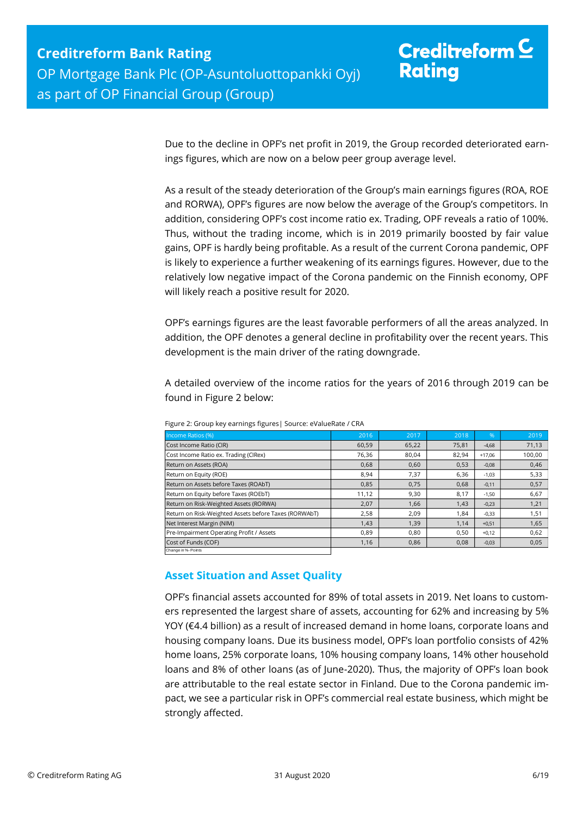Due to the decline in OPF's net profit in 2019, the Group recorded deteriorated earnings figures, which are now on a below peer group average level.

As a result of the steady deterioration of the Group's main earnings figures (ROA, ROE and RORWA), OPF's figures are now below the average of the Group's competitors. In addition, considering OPF's cost income ratio ex. Trading, OPF reveals a ratio of 100%. Thus, without the trading income, which is in 2019 primarily boosted by fair value gains, OPF is hardly being profitable. As a result of the current Corona pandemic, OPF is likely to experience a further weakening of its earnings figures. However, due to the relatively low negative impact of the Corona pandemic on the Finnish economy, OPF will likely reach a positive result for 2020.

OPF's earnings figures are the least favorable performers of all the areas analyzed. In addition, the OPF denotes a general decline in profitability over the recent years. This development is the main driver of the rating downgrade.

A detailed overview of the income ratios for the years of 2016 through 2019 can be found in Figure 2 below:

| Income Ratios (%)                                     | 2016  | 2017  | 2018  | $\%$     | 2019   |
|-------------------------------------------------------|-------|-------|-------|----------|--------|
| Cost Income Ratio (CIR)                               | 60,59 | 65,22 | 75,81 | $-4,68$  | 71,13  |
| Cost Income Ratio ex. Trading (CIRex)                 | 76,36 | 80,04 | 82,94 | $+17.06$ | 100,00 |
| Return on Assets (ROA)                                | 0,68  | 0,60  | 0,53  | $-0,08$  | 0,46   |
| Return on Equity (ROE)                                | 8,94  | 7,37  | 6,36  | $-1,03$  | 5,33   |
| Return on Assets before Taxes (ROAbT)                 | 0,85  | 0.75  | 0.68  | $-0,11$  | 0,57   |
| Return on Equity before Taxes (ROEbT)                 | 11,12 | 9,30  | 8,17  | $-1,50$  | 6,67   |
| Return on Risk-Weighted Assets (RORWA)                | 2,07  | 1,66  | 1,43  | $-0,23$  | 1,21   |
| Return on Risk-Weighted Assets before Taxes (RORWAbT) | 2,58  | 2,09  | 1.84  | $-0,33$  | 1,51   |
| Net Interest Margin (NIM)                             | 1,43  | 1,39  | 1,14  | $+0,51$  | 1,65   |
| Pre-Impairment Operating Profit / Assets              | 0,89  | 0.80  | 0,50  | $+0,12$  | 0,62   |
| Cost of Funds (COF)                                   | 1,16  | 0,86  | 0,08  | $-0,03$  | 0,05   |
| Change in %- Points                                   |       |       |       |          |        |

Figure 2: Group key earnings figures| Source: eValueRate / CRA

## <span id="page-5-0"></span>**Asset Situation and Asset Quality**

OPF's financial assets accounted for 89% of total assets in 2019. Net loans to customers represented the largest share of assets, accounting for 62% and increasing by 5% YOY (€4.4 billion) as a result of increased demand in home loans, corporate loans and housing company loans. Due its business model, OPF's loan portfolio consists of 42% home loans, 25% corporate loans, 10% housing company loans, 14% other household loans and 8% of other loans (as of June-2020). Thus, the majority of OPF's loan book are attributable to the real estate sector in Finland. Due to the Corona pandemic impact, we see a particular risk in OPF's commercial real estate business, which might be strongly affected.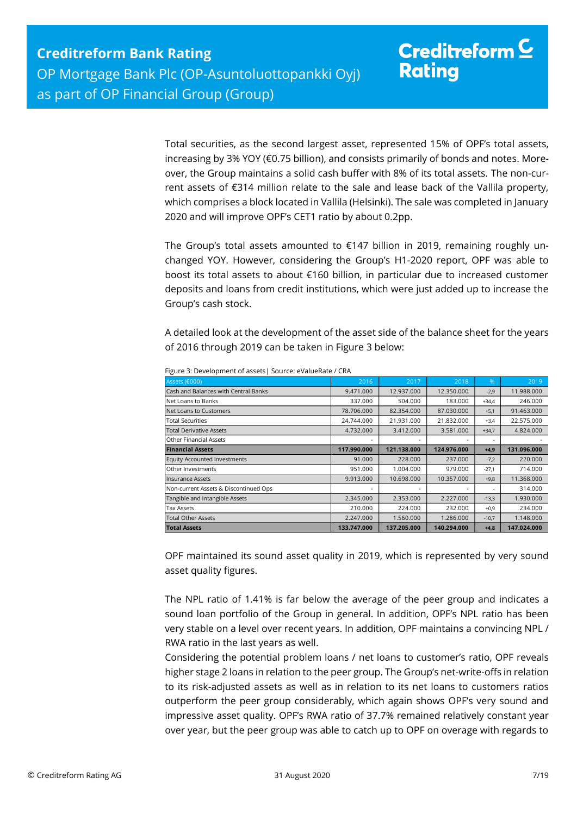Total securities, as the second largest asset, represented 15% of OPF's total assets, increasing by 3% YOY (€0.75 billion), and consists primarily of bonds and notes. Moreover, the Group maintains a solid cash buffer with 8% of its total assets. The non-current assets of €314 million relate to the sale and lease back of the Vallila property, which comprises a block located in Vallila (Helsinki). The sale was completed in January 2020 and will improve OPF's CET1 ratio by about 0.2pp.

The Group's total assets amounted to  $£147$  billion in 2019, remaining roughly unchanged YOY. However, considering the Group's H1-2020 report, OPF was able to boost its total assets to about €160 billion, in particular due to increased customer deposits and loans from credit institutions, which were just added up to increase the Group's cash stock.

A detailed look at the development of the asset side of the balance sheet for the years of 2016 through 2019 can be taken in Figure 3 below:

| Assets (€000)                         | 2016        | 2017        | 2018        | $\%$    | 2019        |
|---------------------------------------|-------------|-------------|-------------|---------|-------------|
| Cash and Balances with Central Banks  | 9.471.000   | 12.937.000  | 12.350.000  | $-2,9$  | 11.988.000  |
| Net Loans to Banks                    | 337.000     | 504.000     | 183.000     | $+34,4$ | 246.000     |
| Net Loans to Customers                | 78.706.000  | 82.354.000  | 87.030.000  | $+5,1$  | 91.463.000  |
| <b>Total Securities</b>               | 24.744.000  | 21.931.000  | 21.832.000  | $+3,4$  | 22.575.000  |
| <b>Total Derivative Assets</b>        | 4.732.000   | 3.412.000   | 3.581.000   | $+34,7$ | 4.824.000   |
| <b>Other Financial Assets</b>         |             |             |             | ۰       |             |
| <b>Financial Assets</b>               | 117.990.000 | 121.138.000 | 124.976.000 | $+4,9$  | 131.096.000 |
| Equity Accounted Investments          | 91.000      | 228,000     | 237,000     | $-7,2$  | 220,000     |
| Other Investments                     | 951.000     | 1.004.000   | 979.000     | $-27,1$ | 714.000     |
| <b>Insurance Assets</b>               | 9.913.000   | 10.698.000  | 10.357.000  | $+9,8$  | 11.368.000  |
| Non-current Assets & Discontinued Ops |             |             | ۰           | ٠       | 314.000     |
| Tangible and Intangible Assets        | 2.345.000   | 2.353.000   | 2.227.000   | $-13,3$ | 1.930.000   |
| <b>Tax Assets</b>                     | 210.000     | 224.000     | 232.000     | $+0,9$  | 234.000     |
| <b>Total Other Assets</b>             | 2.247.000   | 1.560.000   | 1.286.000   | $-10,7$ | 1.148.000   |
| <b>Total Assets</b>                   | 133.747.000 | 137.205.000 | 140.294.000 | $+4,8$  | 147.024.000 |

Figure 3: Development of assets| Source: eValueRate / CRA

OPF maintained its sound asset quality in 2019, which is represented by very sound asset quality figures.

The NPL ratio of 1.41% is far below the average of the peer group and indicates a sound loan portfolio of the Group in general. In addition, OPF's NPL ratio has been very stable on a level over recent years. In addition, OPF maintains a convincing NPL / RWA ratio in the last years as well.

Considering the potential problem loans / net loans to customer's ratio, OPF reveals higher stage 2 loans in relation to the peer group. The Group's net-write-offs in relation to its risk-adjusted assets as well as in relation to its net loans to customers ratios outperform the peer group considerably, which again shows OPF's very sound and impressive asset quality. OPF's RWA ratio of 37.7% remained relatively constant year over year, but the peer group was able to catch up to OPF on overage with regards to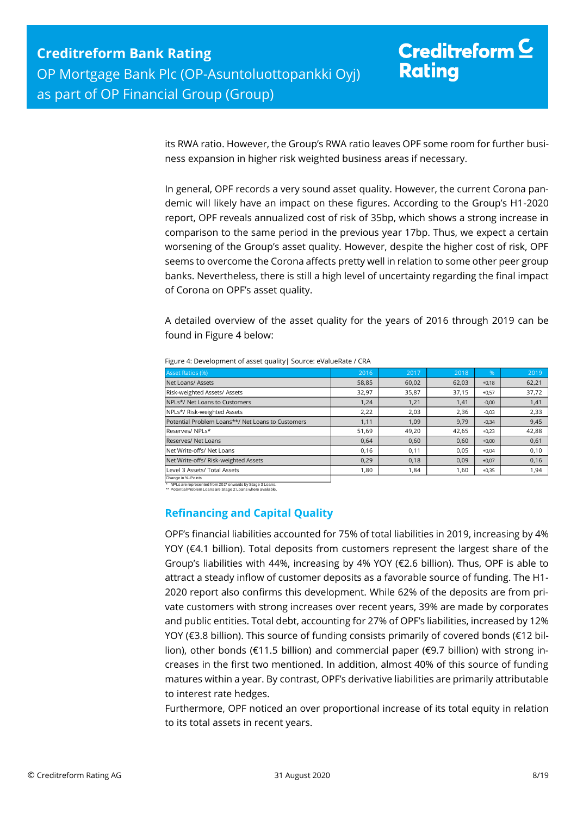its RWA ratio. However, the Group's RWA ratio leaves OPF some room for further business expansion in higher risk weighted business areas if necessary.

In general, OPF records a very sound asset quality. However, the current Corona pandemic will likely have an impact on these figures. According to the Group's H1-2020 report, OPF reveals annualized cost of risk of 35bp, which shows a strong increase in comparison to the same period in the previous year 17bp. Thus, we expect a certain worsening of the Group's asset quality. However, despite the higher cost of risk, OPF seems to overcome the Corona affects pretty well in relation to some other peer group banks. Nevertheless, there is still a high level of uncertainty regarding the final impact of Corona on OPF's asset quality.

A detailed overview of the asset quality for the years of 2016 through 2019 can be found in Figure 4 below:

| Asset Ratios (%)                                  | 2016  | 2017  | 2018  | $\frac{9}{6}$ | 2019  |
|---------------------------------------------------|-------|-------|-------|---------------|-------|
| Net Loans/ Assets                                 | 58,85 | 60,02 | 62,03 | $+0,18$       | 62,21 |
| Risk-weighted Assets/ Assets                      | 32,97 | 35,87 | 37,15 | $+0,57$       | 37,72 |
| NPLs*/ Net Loans to Customers                     | 1,24  | 1,21  | 1,41  | $-0,00$       | 1,41  |
| NPLs*/ Risk-weighted Assets                       | 2,22  | 2,03  | 2,36  | $-0,03$       | 2,33  |
| Potential Problem Loans**/ Net Loans to Customers | 1,11  | 1,09  | 9,79  | $-0,34$       | 9,45  |
| Reserves/NPLs*                                    | 51,69 | 49,20 | 42,65 | $+0,23$       | 42,88 |
| Reserves/ Net Loans                               | 0.64  | 0,60  | 0.60  | $+0,00$       | 0,61  |
| Net Write-offs/ Net Loans                         | 0,16  | 0,11  | 0,05  | $+0.04$       | 0,10  |
| Net Write-offs/ Risk-weighted Assets              | 0,29  | 0,18  | 0,09  | $+0,07$       | 0,16  |
| Level 3 Assets/ Total Assets                      | 1,80  | 1,84  | 1,60  | $+0,35$       | 1,94  |
| Change in %- Points                               |       |       |       |               |       |

Figure 4: Development of asset quality| Source: eValueRate / CRA

\* NPLs are represented from 2017 onwards by Stage 3 Loans. \*\* Potential Problem Loans are Stage 2 Loans where available.

## <span id="page-7-0"></span>**Refinancing and Capital Quality**

OPF's financial liabilities accounted for 75% of total liabilities in 2019, increasing by 4% YOY (€4.1 billion). Total deposits from customers represent the largest share of the Group's liabilities with 44%, increasing by 4% YOY (€2.6 billion). Thus, OPF is able to attract a steady inflow of customer deposits as a favorable source of funding. The H1- 2020 report also confirms this development. While 62% of the deposits are from private customers with strong increases over recent years, 39% are made by corporates and public entities. Total debt, accounting for 27% of OPF's liabilities, increased by 12% YOY (€3.8 billion). This source of funding consists primarily of covered bonds (€12 billion), other bonds (€11.5 billion) and commercial paper (€9.7 billion) with strong increases in the first two mentioned. In addition, almost 40% of this source of funding matures within a year. By contrast, OPF's derivative liabilities are primarily attributable to interest rate hedges.

Furthermore, OPF noticed an over proportional increase of its total equity in relation to its total assets in recent years.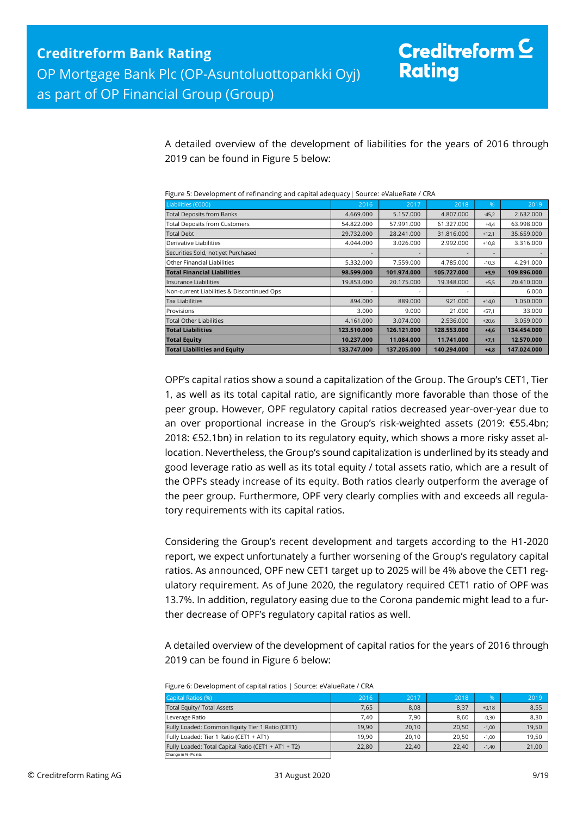A detailed overview of the development of liabilities for the years of 2016 through 2019 can be found in Figure 5 below:

| i isai c b. Development or remaineirs, and capital daequacy pource. evaluenate / ellvi |             |             |             |                |             |
|----------------------------------------------------------------------------------------|-------------|-------------|-------------|----------------|-------------|
| Liabilities (€000)                                                                     | 2016        | 2017        | 2018        | %              | 2019        |
| <b>Total Deposits from Banks</b>                                                       | 4.669.000   | 5.157.000   | 4.807.000   | $-45,2$        | 2.632.000   |
| <b>Total Deposits from Customers</b>                                                   | 54.822.000  | 57.991.000  | 61.327.000  | $+4,4$         | 63.998.000  |
| <b>Total Debt</b>                                                                      | 29.732.000  | 28.241.000  | 31.816.000  | $+12,1$        | 35.659.000  |
| Derivative Liabilities                                                                 | 4.044.000   | 3.026.000   | 2.992.000   | $+10,8$        | 3.316.000   |
| Securities Sold, not yet Purchased                                                     |             |             |             |                |             |
| Other Financial Liabilities                                                            | 5.332.000   | 7.559.000   | 4.785.000   | $-10,3$        | 4.291.000   |
| <b>Total Financial Liabilities</b>                                                     | 98.599.000  | 101.974.000 | 105.727.000 | $+3,9$         | 109.896.000 |
| Insurance Liabilities                                                                  | 19.853.000  | 20.175.000  | 19.348.000  | $+5,5$         | 20.410.000  |
| Non-current Liabilities & Discontinued Ops                                             |             |             |             | $\overline{a}$ | 6.000       |
| <b>Tax Liabilities</b>                                                                 | 894.000     | 889,000     | 921.000     | $+14,0$        | 1.050.000   |
| Provisions                                                                             | 3.000       | 9.000       | 21.000      | $+57,1$        | 33.000      |
| <b>Total Other Liabilities</b>                                                         | 4.161.000   | 3.074.000   | 2.536.000   | $+20,6$        | 3.059.000   |
| <b>Total Liabilities</b>                                                               | 123.510.000 | 126.121.000 | 128.553.000 | $+4,6$         | 134.454.000 |
| <b>Total Equity</b>                                                                    | 10.237.000  | 11.084.000  | 11.741.000  | $+7,1$         | 12.570.000  |
| <b>Total Liabilities and Equity</b>                                                    | 133.747.000 | 137.205.000 | 140.294.000 | $+4,8$         | 147.024.000 |

Figure 5: Development of refinancing and capital adequacy| Source: eValueRate / CRA

OPF's capital ratios show a sound a capitalization of the Group. The Group's CET1, Tier 1, as well as its total capital ratio, are significantly more favorable than those of the peer group. However, OPF regulatory capital ratios decreased year-over-year due to an over proportional increase in the Group's risk-weighted assets (2019: €55.4bn; 2018: €52.1bn) in relation to its regulatory equity, which shows a more risky asset allocation. Nevertheless, the Group's sound capitalization is underlined by its steady and good leverage ratio as well as its total equity / total assets ratio, which are a result of the OPF's steady increase of its equity. Both ratios clearly outperform the average of the peer group. Furthermore, OPF very clearly complies with and exceeds all regulatory requirements with its capital ratios.

Considering the Group's recent development and targets according to the H1-2020 report, we expect unfortunately a further worsening of the Group's regulatory capital ratios. As announced, OPF new CET1 target up to 2025 will be 4% above the CET1 regulatory requirement. As of June 2020, the regulatory required CET1 ratio of OPF was 13.7%. In addition, regulatory easing due to the Corona pandemic might lead to a further decrease of OPF's regulatory capital ratios as well.

A detailed overview of the development of capital ratios for the years of 2016 through 2019 can be found in Figure 6 below:

| Figure 6: Development of capital ratios   Source: eValueRate / CRA |  |
|--------------------------------------------------------------------|--|
|--------------------------------------------------------------------|--|

| Capital Ratios (%)                                  | 2016  | 2017  | 2018  | %       | 2019  |
|-----------------------------------------------------|-------|-------|-------|---------|-------|
| Total Equity/ Total Assets                          | 7.65  | 8.08  | 8,37  |         |       |
|                                                     |       |       |       | $+0.18$ | 8,55  |
| Leverage Ratio                                      | 7.40  | 7.90  | 8.60  | $-0.30$ | 8,30  |
| Fully Loaded: Common Equity Tier 1 Ratio (CET1)     | 19.90 | 20.10 | 20.50 | $-1.00$ | 19,50 |
| Fully Loaded: Tier 1 Ratio (CET1 + AT1)             | 19.90 | 20.10 | 20.50 | $-1.00$ | 19,50 |
| Fully Loaded: Total Capital Ratio (CET1 + AT1 + T2) | 22,80 | 22.40 | 22.40 | $-1,40$ | 21,00 |
| Change in %- Points                                 |       |       |       |         |       |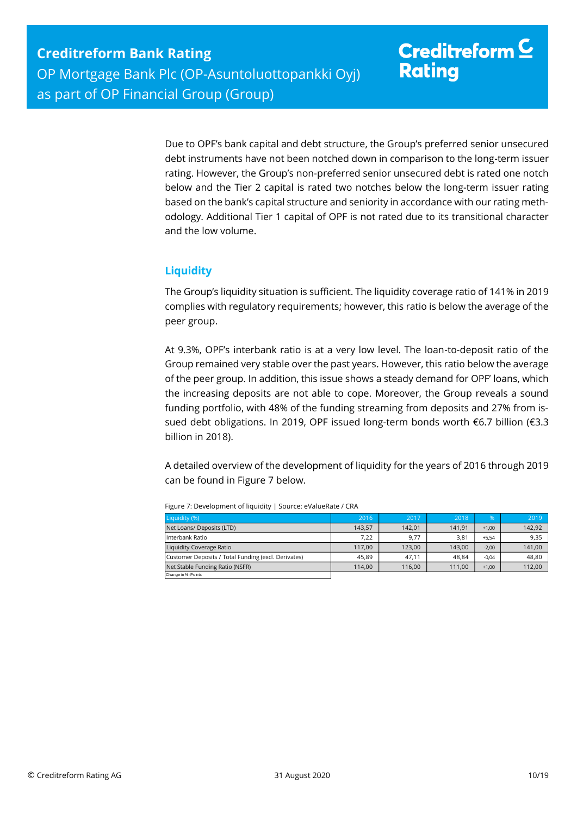Due to OPF's bank capital and debt structure, the Group's preferred senior unsecured debt instruments have not been notched down in comparison to the long-term issuer rating. However, the Group's non-preferred senior unsecured debt is rated one notch below and the Tier 2 capital is rated two notches below the long-term issuer rating based on the bank's capital structure and seniority in accordance with our rating methodology. Additional Tier 1 capital of OPF is not rated due to its transitional character and the low volume.

## <span id="page-9-0"></span>**Liquidity**

The Group's liquidity situation is sufficient. The liquidity coverage ratio of 141% in 2019 complies with regulatory requirements; however, this ratio is below the average of the peer group.

At 9.3%, OPF's interbank ratio is at a very low level. The loan-to-deposit ratio of the Group remained very stable over the past years. However, this ratio below the average of the peer group. In addition, this issue shows a steady demand for OPF' loans, which the increasing deposits are not able to cope. Moreover, the Group reveals a sound funding portfolio, with 48% of the funding streaming from deposits and 27% from issued debt obligations. In 2019, OPF issued long-term bonds worth €6.7 billion (€3.3 billion in 2018).

A detailed overview of the development of liquidity for the years of 2016 through 2019 can be found in Figure 7 below.

| Liquidity (%)                                       | 2016   | 2017   | 2018   | $\%$    | 2019   |
|-----------------------------------------------------|--------|--------|--------|---------|--------|
| Net Loans/ Deposits (LTD)                           | 143.57 | 142.01 | 141,91 | $+1.00$ | 142,92 |
| Interbank Ratio                                     | 7.22   | 9,77   | 3,81   | $+5.54$ | 9,35   |
| Liquidity Coverage Ratio                            | 117.00 | 123.00 | 143.00 | $-2.00$ | 141,00 |
| Customer Deposits / Total Funding (excl. Derivates) | 45.89  | 47.11  | 48.84  | $-0.04$ | 48.80  |
| Net Stable Funding Ratio (NSFR)                     | 114.00 | 116.00 | 111.00 | $+1.00$ | 112,00 |
| Change in %- Points                                 |        |        |        |         |        |

Figure 7: Development of liquidity | Source: eValueRate / CRA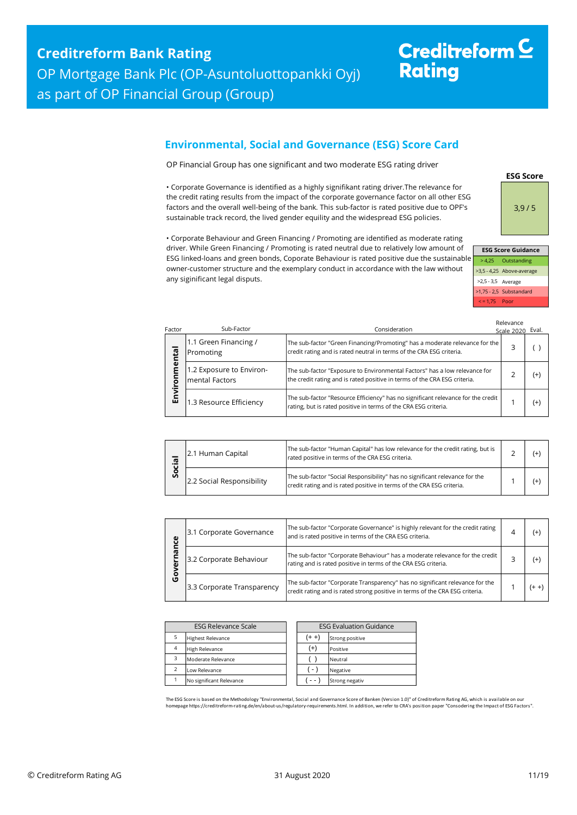# Creditreform<sup>C</sup> **Rating**

## <span id="page-10-0"></span>**Environmental, Social and Governance (ESG) Score Card**

OP Financial Group has one significant and two moderate ESG rating driver

• Corporate Governance is identified as a highly signifikant rating driver.The relevance for the credit rating results from the impact of the corporate governance factor on all other ESG factors and the overall well-being of the bank. This sub-factor is rated positive due to OPF's sustainable track record, the lived gender equility and the widespread ESG policies.

• Corporate Behaviour and Green Financing / Promoting are identified as moderate rating driver. While Green Financing / Promoting is rated neutral due to relatively low amount of ESG linked-loans and green bonds, Coporate Behaviour is rated positive due the sustainable owner-customer structure and the exemplary conduct in accordance with the law without any siginificant legal disputs.

**ESG Score** 3,9 / 5

|   | <b>ESG Score Guidance</b> |                           |  |  |  |  |  |  |  |
|---|---------------------------|---------------------------|--|--|--|--|--|--|--|
| e |                           | > 4,25 Outstanding        |  |  |  |  |  |  |  |
|   |                           | >3,5 - 4,25 Above-average |  |  |  |  |  |  |  |
|   | $>2,5 - 3,5$ Average      |                           |  |  |  |  |  |  |  |
|   |                           | >1,75 - 2,5 Substandard   |  |  |  |  |  |  |  |
|   | $\le$ = 1.75 Poor         |                           |  |  |  |  |  |  |  |

| Factor    | Sub-Factor                                 | Consideration                                                                                                                                           | Relevance<br>Scale 2020 Eval. |       |
|-----------|--------------------------------------------|---------------------------------------------------------------------------------------------------------------------------------------------------------|-------------------------------|-------|
| ntal      | 1.1 Green Financing /<br>Promoting         | The sub-factor "Green Financing/Promoting" has a moderate relevance for the<br>credit rating and is rated neutral in terms of the CRA ESG criteria.     |                               |       |
| nmer<br>ā | 1.2 Exposure to Environ-<br>mental Factors | The sub-factor "Exposure to Environmental Factors" has a low relevance for<br>the credit rating and is rated positive in terms of the CRA ESG criteria. | っ                             | $(+)$ |
| Envi      | 1.3 Resource Efficiency                    | The sub-factor "Resource Efficiency" has no significant relevance for the credit<br>rating, but is rated positive in terms of the CRA ESG criteria.     |                               | $(+)$ |

| <u>히</u><br>ο<br>Ū | 2.1 Human Capital         | The sub-factor "Human Capital" has low relevance for the credit rating, but is<br>rated positive in terms of the CRA ESG criteria.                   |  |
|--------------------|---------------------------|------------------------------------------------------------------------------------------------------------------------------------------------------|--|
|                    | 2.2 Social Responsibility | The sub-factor "Social Responsibility" has no significant relevance for the<br>credit rating and is rated positive in terms of the CRA ESG criteria. |  |

| ပ္ပ    | 3.1 Corporate Governance   | The sub-factor "Corporate Governance" is highly relevant for the credit rating<br>and is rated positive in terms of the CRA ESG criteria.                    | (+ |
|--------|----------------------------|--------------------------------------------------------------------------------------------------------------------------------------------------------------|----|
|        | 3.2 Corporate Behaviour    | The sub-factor "Corporate Behaviour" has a moderate relevance for the credit<br>rating and is rated positive in terms of the CRA ESG criteria.               | (+ |
| о<br>O | 3.3 Corporate Transparency | The sub-factor "Corporate Transparency" has no significant relevance for the<br>credit rating and is rated strong positive in terms of the CRA ESG criteria. |    |

| <b>ESG Relevance Scale</b> |                          | <b>ESG Evaluation Guidance</b> |                 |
|----------------------------|--------------------------|--------------------------------|-----------------|
|                            | <b>Highest Relevance</b> | (+ +)                          | Strong positive |
| $\overline{4}$             | <b>High Relevance</b>    | $^{(+)}$                       | Positive        |
| з                          | Moderate Relevance       |                                | Neutral         |
| $\overline{\phantom{a}}$   | Low Relevance            | $(-)$                          | Negative        |
|                            | No significant Relevance |                                | Strong negativ  |

The ESG Score is based on the Methodology "Environmental, Social and Governance Score of Banken (Version 1.0)" of Creditreform Rating AG, which is available on our<br>homepage https://creditreform-rating.de/en/about-us/regula homepage https://creditreform-rating.de/en/about-us/regulatory-requirements.html. In addition, we refer to CRA's position paper "Conso<br>epage https://creditreform-rating.de/en/about-us/regulatory-requirements.html. In addit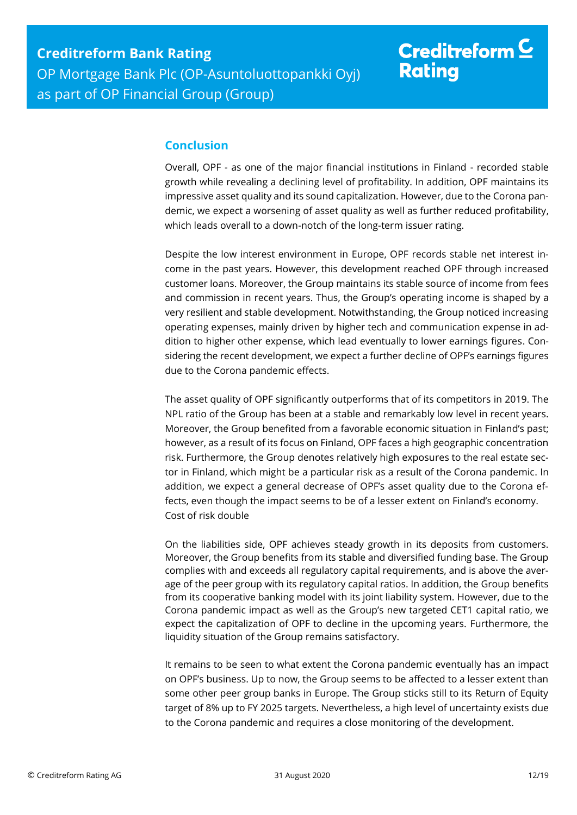## <span id="page-11-0"></span>**Conclusion**

Overall, OPF - as one of the major financial institutions in Finland - recorded stable growth while revealing a declining level of profitability. In addition, OPF maintains its impressive asset quality and its sound capitalization. However, due to the Corona pandemic, we expect a worsening of asset quality as well as further reduced profitability, which leads overall to a down-notch of the long-term issuer rating.

Despite the low interest environment in Europe, OPF records stable net interest income in the past years. However, this development reached OPF through increased customer loans. Moreover, the Group maintains its stable source of income from fees and commission in recent years. Thus, the Group's operating income is shaped by a very resilient and stable development. Notwithstanding, the Group noticed increasing operating expenses, mainly driven by higher tech and communication expense in addition to higher other expense, which lead eventually to lower earnings figures. Considering the recent development, we expect a further decline of OPF's earnings figures due to the Corona pandemic effects.

The asset quality of OPF significantly outperforms that of its competitors in 2019. The NPL ratio of the Group has been at a stable and remarkably low level in recent years. Moreover, the Group benefited from a favorable economic situation in Finland's past; however, as a result of its focus on Finland, OPF faces a high geographic concentration risk. Furthermore, the Group denotes relatively high exposures to the real estate sector in Finland, which might be a particular risk as a result of the Corona pandemic. In addition, we expect a general decrease of OPF's asset quality due to the Corona effects, even though the impact seems to be of a lesser extent on Finland's economy. Cost of risk double

On the liabilities side, OPF achieves steady growth in its deposits from customers. Moreover, the Group benefits from its stable and diversified funding base. The Group complies with and exceeds all regulatory capital requirements, and is above the average of the peer group with its regulatory capital ratios. In addition, the Group benefits from its cooperative banking model with its joint liability system. However, due to the Corona pandemic impact as well as the Group's new targeted CET1 capital ratio, we expect the capitalization of OPF to decline in the upcoming years. Furthermore, the liquidity situation of the Group remains satisfactory.

It remains to be seen to what extent the Corona pandemic eventually has an impact on OPF's business. Up to now, the Group seems to be affected to a lesser extent than some other peer group banks in Europe. The Group sticks still to its Return of Equity target of 8% up to FY 2025 targets. Nevertheless, a high level of uncertainty exists due to the Corona pandemic and requires a close monitoring of the development.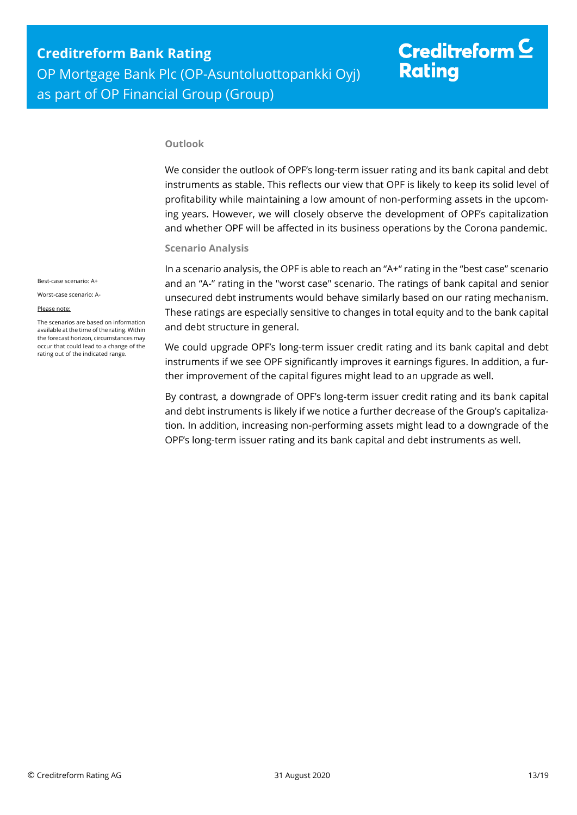# Creditreform  $\subseteq$ **Rating**

#### **Outlook**

We consider the outlook of OPF's long-term issuer rating and its bank capital and debt instruments as stable. This reflects our view that OPF is likely to keep its solid level of profitability while maintaining a low amount of non-performing assets in the upcoming years. However, we will closely observe the development of OPF's capitalization and whether OPF will be affected in its business operations by the Corona pandemic.

#### **Scenario Analysis**

In a scenario analysis, the OPF is able to reach an "A+" rating in the "best case" scenario and an "A-" rating in the "worst case" scenario. The ratings of bank capital and senior unsecured debt instruments would behave similarly based on our rating mechanism. These ratings are especially sensitive to changes in total equity and to the bank capital and debt structure in general.

We could upgrade OPF's long-term issuer credit rating and its bank capital and debt instruments if we see OPF significantly improves it earnings figures. In addition, a further improvement of the capital figures might lead to an upgrade as well.

By contrast, a downgrade of OPF's long-term issuer credit rating and its bank capital and debt instruments is likely if we notice a further decrease of the Group's capitalization. In addition, increasing non-performing assets might lead to a downgrade of the OPF's long-term issuer rating and its bank capital and debt instruments as well.

Best-case scenario: A+

Worst-case scenario: A-

#### Please note:

The scenarios are based on information available at the time of the rating. Within the forecast horizon, circumstances may occur that could lead to a change of the rating out of the indicated range.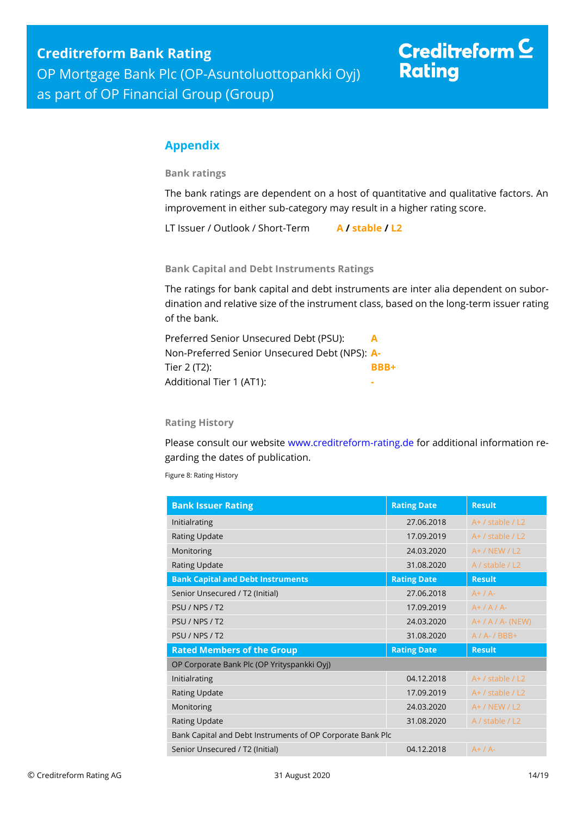# Creditreform  $C$ **Rating**

## <span id="page-13-0"></span>**Appendix**

**Bank ratings**

The bank ratings are dependent on a host of quantitative and qualitative factors. An improvement in either sub-category may result in a higher rating score.

LT Issuer / Outlook / Short-Term **A / stable / L2**

**Bank Capital and Debt Instruments Ratings**

The ratings for bank capital and debt instruments are inter alia dependent on subordination and relative size of the instrument class, based on the long-term issuer rating of the bank.

| Preferred Senior Unsecured Debt (PSU):        | A    |
|-----------------------------------------------|------|
| Non-Preferred Senior Unsecured Debt (NPS): A- |      |
| Tier 2 (T2):                                  | BBB+ |
| Additional Tier 1 (AT1):                      |      |

### **Rating History**

Please consult our website [www.creditreform-rating.de](http://www.creditreform-rating.de/) for additional information regarding the dates of publication.

Figure 8: Rating History

| <b>Bank Issuer Rating</b>                                  | <b>Rating Date</b> | <b>Result</b>        |  |
|------------------------------------------------------------|--------------------|----------------------|--|
| Initialrating                                              | 27.06.2018         | $A+$ / stable / L2   |  |
| <b>Rating Update</b>                                       | 17.09.2019         | $A+$ / stable / L2   |  |
| Monitoring                                                 | 24.03.2020         | $A+ / NEW / L2$      |  |
| <b>Rating Update</b>                                       | 31.08.2020         | A / stable / L2      |  |
| <b>Bank Capital and Debt Instruments</b>                   | <b>Rating Date</b> | <b>Result</b>        |  |
| Senior Unsecured / T2 (Initial)                            | 27.06.2018         | $A+ / A-$            |  |
| PSU / NPS / T2                                             | 17.09.2019         | $A+ / A / A$         |  |
| PSU / NPS / T2                                             | 24.03.2020         | $A+ / A / A$ - (NEW) |  |
| PSU / NPS / T2                                             | 31.08.2020         | $A / A - / BBB +$    |  |
| <b>Rated Members of the Group</b>                          | <b>Rating Date</b> | <b>Result</b>        |  |
| OP Corporate Bank Plc (OP Yrityspankki Oyj)                |                    |                      |  |
| Initialrating                                              | 04.12.2018         | $A+$ / stable / L2   |  |
| <b>Rating Update</b>                                       | 17.09.2019         | $A+$ / stable / L2   |  |
| Monitoring                                                 | 24.03.2020         | $A+ / NEW / L2$      |  |
| <b>Rating Update</b>                                       | 31.08.2020         | A / stable / L2      |  |
| Bank Capital and Debt Instruments of OP Corporate Bank Plc |                    |                      |  |
| Senior Unsecured / T2 (Initial)                            | 04.12.2018         | $A+ / A-$            |  |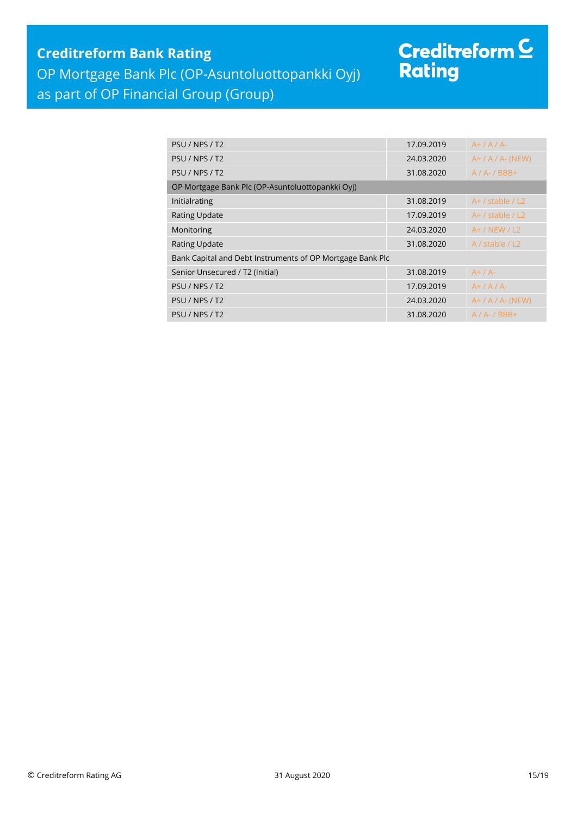## **Creditreform Bank Rating**

OP Mortgage Bank Plc (OP-Asuntoluottopankki Oyj)

## as part of OP Financial Group (Group)

# Creditreform <sup>C</sup><br>Rating

| PSU / NPS / T2                                            | 17.09.2019 | $A+ / A / A$         |  |
|-----------------------------------------------------------|------------|----------------------|--|
| PSU / NPS / T2                                            | 24.03.2020 | $A+ / A / A$ - (NEW) |  |
| PSU / NPS / T2                                            | 31.08.2020 | $A / A - / BBB +$    |  |
| OP Mortgage Bank Plc (OP-Asuntoluottopankki Oyj)          |            |                      |  |
| Initialrating                                             | 31.08.2019 | $A+$ / stable / L2   |  |
| <b>Rating Update</b>                                      | 17.09.2019 | $A+$ / stable / L2   |  |
| Monitoring                                                | 24.03.2020 | $A+ / NEW / L2$      |  |
| <b>Rating Update</b>                                      | 31.08.2020 | A / stable $/ L2$    |  |
| Bank Capital and Debt Instruments of OP Mortgage Bank Plc |            |                      |  |
| Senior Unsecured / T2 (Initial)                           | 31.08.2019 | $A+ / A-$            |  |
| PSU / NPS / T2                                            | 17.09.2019 | $A+ / A / A$         |  |
| PSU / NPS / T2                                            | 24.03.2020 | $A+ / A / A$ - (NEW) |  |
| PSU / NPS / T2                                            | 31.08.2020 | $A / A - / BBB +$    |  |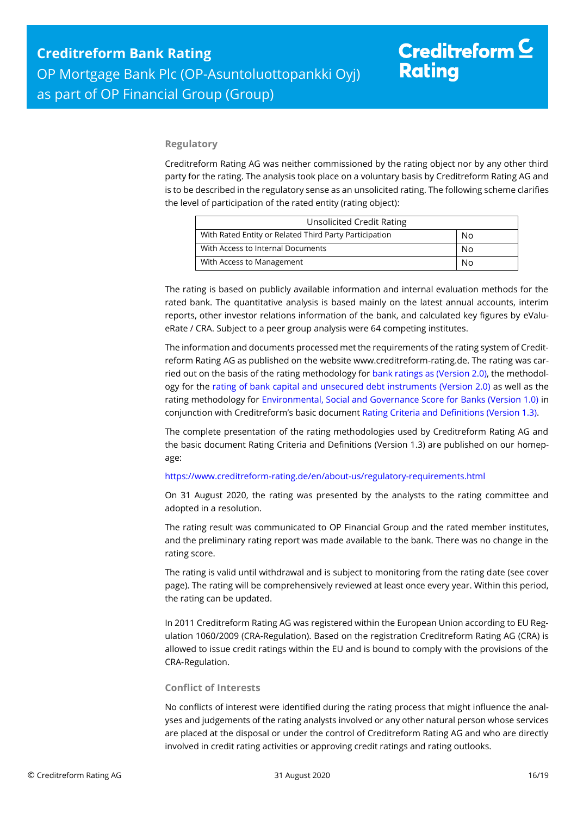#### **Regulatory**

Creditreform Rating AG was neither commissioned by the rating object nor by any other third party for the rating. The analysis took place on a voluntary basis by Creditreform Rating AG and is to be described in the regulatory sense as an unsolicited rating. The following scheme clarifies the level of participation of the rated entity (rating object):

| <b>Unsolicited Credit Rating</b>                       |    |
|--------------------------------------------------------|----|
| With Rated Entity or Related Third Party Participation | No |
| With Access to Internal Documents                      | No |
| With Access to Management<br>N٥                        |    |

The rating is based on publicly available information and internal evaluation methods for the rated bank. The quantitative analysis is based mainly on the latest annual accounts, interim reports, other investor relations information of the bank, and calculated key figures by eValueRate / CRA. Subject to a peer group analysis were 64 competing institutes.

The information and documents processed met the requirements of the rating system of Creditreform Rating AG as published on the website www.creditreform-rating.de. The rating was carried out on the basis of the rating methodology fo[r bank ratings as \(Version 2.0\),](https://www.creditreform-rating.de/en/about-us/regulatory-requirements.html?file=files/content/downloads/Externes%20Rating/Regulatorische%20Anforderungen/EN/Ratingmethodiken%20EN/Rating%20Methodology%20Bank%20Ratings%20v2.0.pdf) the methodology for the [rating of bank capital and unsecured debt instruments \(Version 2.0\)](https://www.creditreform-rating.de/en/about-us/regulatory-requirements.html?file=files/content/downloads/Externes%20Rating/Regulatorische%20Anforderungen/EN/Ratingmethodiken%20EN/Bank%20Capital%20and%20Unsecured%20Debt%20Instruments%20Methodology.pdf) as well as the rating methodology for [Environmental, Social and Governance Score for Banks \(Version 1.0\)](https://www.creditreform-rating.de/en/about-us/regulatory-requirements.html?file=files/content/downloads/Externes%20Rating/Regulatorische%20Anforderungen/EN/Ratingmethodiken%20EN/Rating%20Methodology%20ESG%20v1.0.pdf) in conjunction with Creditreform's basic documen[t Rating Criteria and Definitions \(Version 1.3\).](https://www.creditreform-rating.de/en/about-us/regulatory-requirements.html?file=files/content/downloads/Externes%20Rating/Regulatorische%20Anforderungen/EN/Ratingmethodiken%20EN/CRAG%20Rating%20Criteria%20and%20Definitions.pdf)

The complete presentation of the rating methodologies used by Creditreform Rating AG and the basic document Rating Criteria and Definitions (Version 1.3) are published on our homepage:

#### <https://www.creditreform-rating.de/en/about-us/regulatory-requirements.html>

On 31 August 2020, the rating was presented by the analysts to the rating committee and adopted in a resolution.

The rating result was communicated to OP Financial Group and the rated member institutes, and the preliminary rating report was made available to the bank. There was no change in the rating score.

The rating is valid until withdrawal and is subject to monitoring from the rating date (see cover page). The rating will be comprehensively reviewed at least once every year. Within this period, the rating can be updated.

In 2011 Creditreform Rating AG was registered within the European Union according to EU Regulation 1060/2009 (CRA-Regulation). Based on the registration Creditreform Rating AG (CRA) is allowed to issue credit ratings within the EU and is bound to comply with the provisions of the CRA-Regulation.

#### **Conflict of Interests**

No conflicts of interest were identified during the rating process that might influence the analyses and judgements of the rating analysts involved or any other natural person whose services are placed at the disposal or under the control of Creditreform Rating AG and who are directly involved in credit rating activities or approving credit ratings and rating outlooks.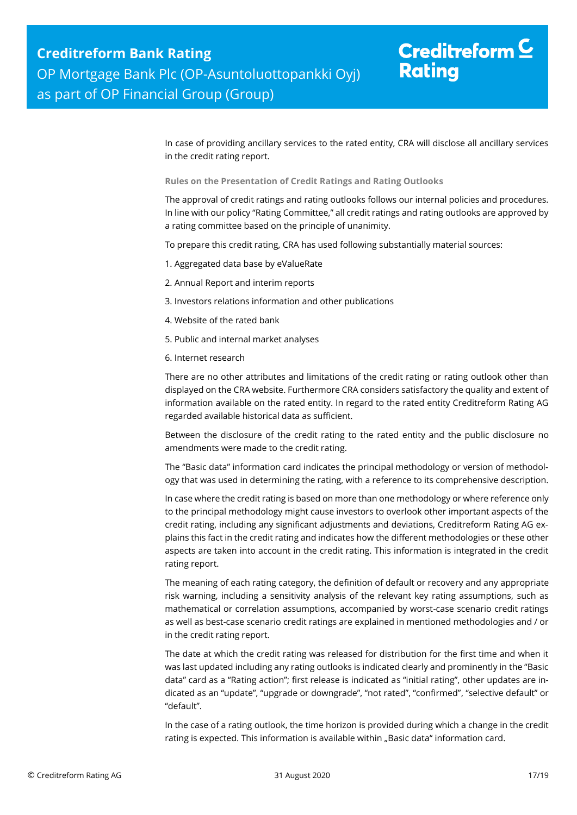In case of providing ancillary services to the rated entity, CRA will disclose all ancillary services in the credit rating report.

**Rules on the Presentation of Credit Ratings and Rating Outlooks**

The approval of credit ratings and rating outlooks follows our internal policies and procedures. In line with our policy "Rating Committee," all credit ratings and rating outlooks are approved by a rating committee based on the principle of unanimity.

To prepare this credit rating, CRA has used following substantially material sources:

- 1. Aggregated data base by eValueRate
- 2. Annual Report and interim reports
- 3. Investors relations information and other publications
- 4. Website of the rated bank
- 5. Public and internal market analyses
- 6. Internet research

There are no other attributes and limitations of the credit rating or rating outlook other than displayed on the CRA website. Furthermore CRA considers satisfactory the quality and extent of information available on the rated entity. In regard to the rated entity Creditreform Rating AG regarded available historical data as sufficient.

Between the disclosure of the credit rating to the rated entity and the public disclosure no amendments were made to the credit rating.

The "Basic data" information card indicates the principal methodology or version of methodology that was used in determining the rating, with a reference to its comprehensive description.

In case where the credit rating is based on more than one methodology or where reference only to the principal methodology might cause investors to overlook other important aspects of the credit rating, including any significant adjustments and deviations, Creditreform Rating AG explains this fact in the credit rating and indicates how the different methodologies or these other aspects are taken into account in the credit rating. This information is integrated in the credit rating report.

The meaning of each rating category, the definition of default or recovery and any appropriate risk warning, including a sensitivity analysis of the relevant key rating assumptions, such as mathematical or correlation assumptions, accompanied by worst-case scenario credit ratings as well as best-case scenario credit ratings are explained in mentioned methodologies and / or in the credit rating report.

The date at which the credit rating was released for distribution for the first time and when it was last updated including any rating outlooks is indicated clearly and prominently in the "Basic data" card as a "Rating action"; first release is indicated as "initial rating", other updates are indicated as an "update", "upgrade or downgrade", "not rated", "confirmed", "selective default" or "default".

In the case of a rating outlook, the time horizon is provided during which a change in the credit rating is expected. This information is available within "Basic data" information card.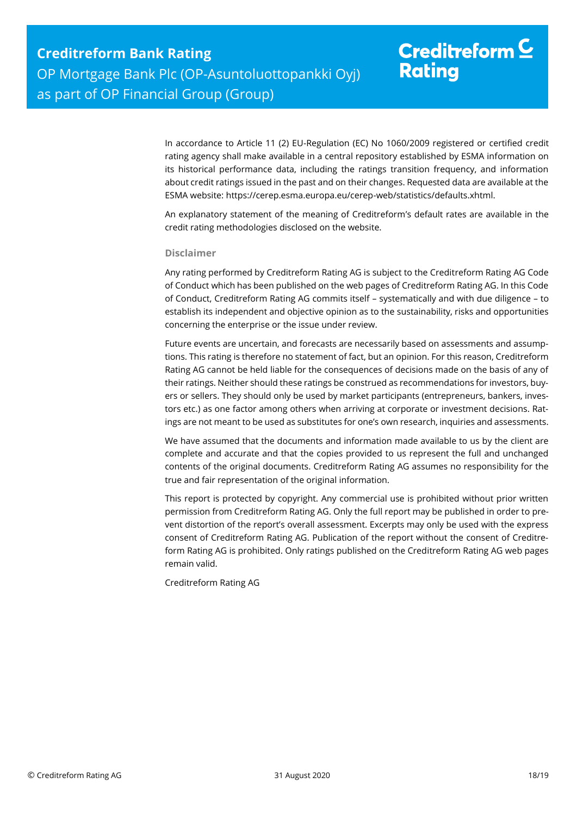In accordance to Article 11 (2) EU-Regulation (EC) No 1060/2009 registered or certified credit rating agency shall make available in a central repository established by ESMA information on its historical performance data, including the ratings transition frequency, and information about credit ratings issued in the past and on their changes. Requested data are available at the ESMA website: https://cerep.esma.europa.eu/cerep-web/statistics/defaults.xhtml.

An explanatory statement of the meaning of Creditreform's default rates are available in the credit rating methodologies disclosed on the website.

#### **Disclaimer**

Any rating performed by Creditreform Rating AG is subject to the Creditreform Rating AG Code of Conduct which has been published on the web pages of Creditreform Rating AG. In this Code of Conduct, Creditreform Rating AG commits itself – systematically and with due diligence – to establish its independent and objective opinion as to the sustainability, risks and opportunities concerning the enterprise or the issue under review.

Future events are uncertain, and forecasts are necessarily based on assessments and assumptions. This rating is therefore no statement of fact, but an opinion. For this reason, Creditreform Rating AG cannot be held liable for the consequences of decisions made on the basis of any of their ratings. Neither should these ratings be construed as recommendations for investors, buyers or sellers. They should only be used by market participants (entrepreneurs, bankers, investors etc.) as one factor among others when arriving at corporate or investment decisions. Ratings are not meant to be used as substitutes for one's own research, inquiries and assessments.

We have assumed that the documents and information made available to us by the client are complete and accurate and that the copies provided to us represent the full and unchanged contents of the original documents. Creditreform Rating AG assumes no responsibility for the true and fair representation of the original information.

This report is protected by copyright. Any commercial use is prohibited without prior written permission from Creditreform Rating AG. Only the full report may be published in order to prevent distortion of the report's overall assessment. Excerpts may only be used with the express consent of Creditreform Rating AG. Publication of the report without the consent of Creditreform Rating AG is prohibited. Only ratings published on the Creditreform Rating AG web pages remain valid.

Creditreform Rating AG